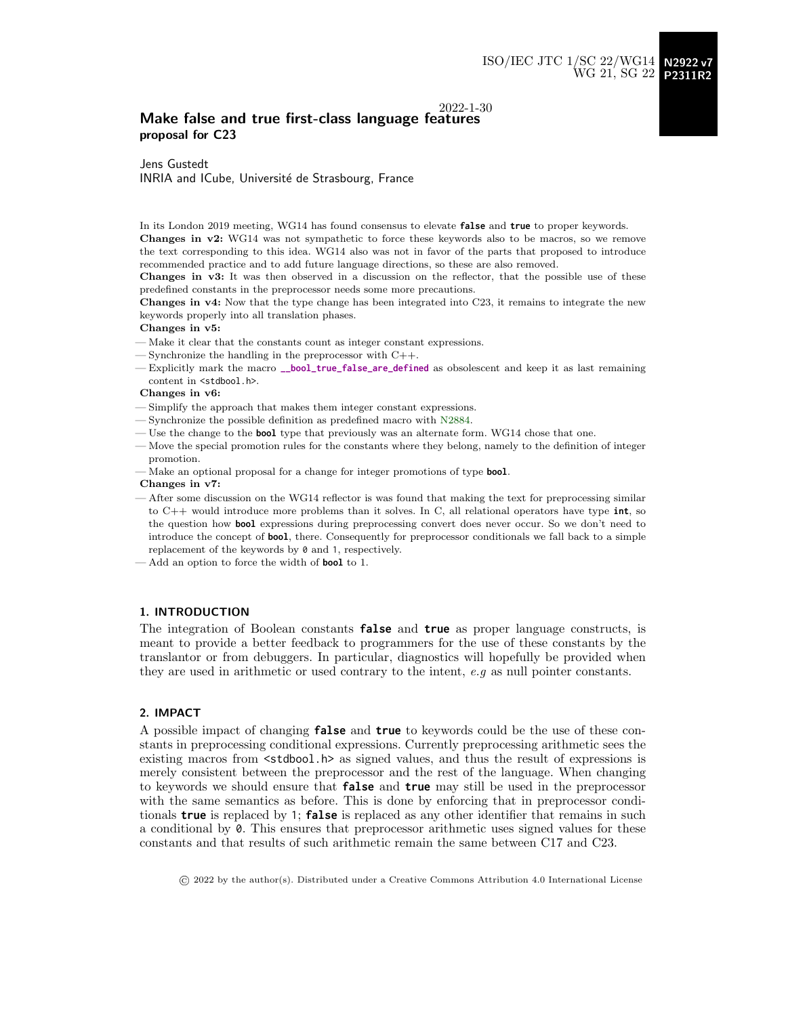## 2022-1-30 Make false and true first-class language features proposal for C23

Jens Gustedt INRIA and ICube, Université de Strasbourg, France

In its London 2019 meeting, WG14 has found consensus to elevate **false** and **true** to proper keywords. Changes in v2: WG14 was not sympathetic to force these keywords also to be macros, so we remove the text corresponding to this idea. WG14 also was not in favor of the parts that proposed to introduce recommended practice and to add future language directions, so these are also removed.

Changes in v3: It was then observed in a discussion on the reflector, that the possible use of these predefined constants in the preprocessor needs some more precautions.

Changes in v4: Now that the type change has been integrated into C23, it remains to integrate the new keywords properly into all translation phases.

Changes in v5:

- Make it clear that the constants count as integer constant expressions.
- Synchronize the handling in the preprocessor with C++.
- Explicitly mark the macro **\_\_bool\_true\_false\_are\_defined** as obsolescent and keep it as last remaining content in  $\lt$ stdbool h>.

#### Changes in v6:

- Simplify the approach that makes them integer constant expressions.
- Synchronize the possible definition as predefined macro with [N2884.](http://www.open-std.org/jtc1/sc22/wg14/www/docs/n2884.pdf)
- Use the change to the **bool** type that previously was an alternate form. WG14 chose that one.
- Move the special promotion rules for the constants where they belong, namely to the definition of integer promotion.
- Make an optional proposal for a change for integer promotions of type **bool**.

#### Changes in v7:

- After some discussion on the WG14 reflector is was found that making the text for preprocessing similar to C++ would introduce more problems than it solves. In C, all relational operators have type **int**, so the question how **bool** expressions during preprocessing convert does never occur. So we don't need to introduce the concept of **bool**, there. Consequently for preprocessor conditionals we fall back to a simple replacement of the keywords by 0 and 1, respectively.
- Add an option to force the width of **bool** to 1.

#### 1. INTRODUCTION

The integration of Boolean constants **false** and **true** as proper language constructs, is meant to provide a better feedback to programmers for the use of these constants by the translantor or from debuggers. In particular, diagnostics will hopefully be provided when they are used in arithmetic or used contrary to the intent, e.g as null pointer constants.

## 2. IMPACT

A possible impact of changing **false** and **true** to keywords could be the use of these constants in preprocessing conditional expressions. Currently preprocessing arithmetic sees the existing macros from  $\leq$  stdbool.h> as signed values, and thus the result of expressions is merely consistent between the preprocessor and the rest of the language. When changing to keywords we should ensure that **false** and **true** may still be used in the preprocessor with the same semantics as before. This is done by enforcing that in preprocessor conditionals **true** is replaced by 1; **false** is replaced as any other identifier that remains in such a conditional by 0. This ensures that preprocessor arithmetic uses signed values for these constants and that results of such arithmetic remain the same between C17 and C23.

© 2022 by the author(s). Distributed under a Creative Commons Attribution 4.0 International License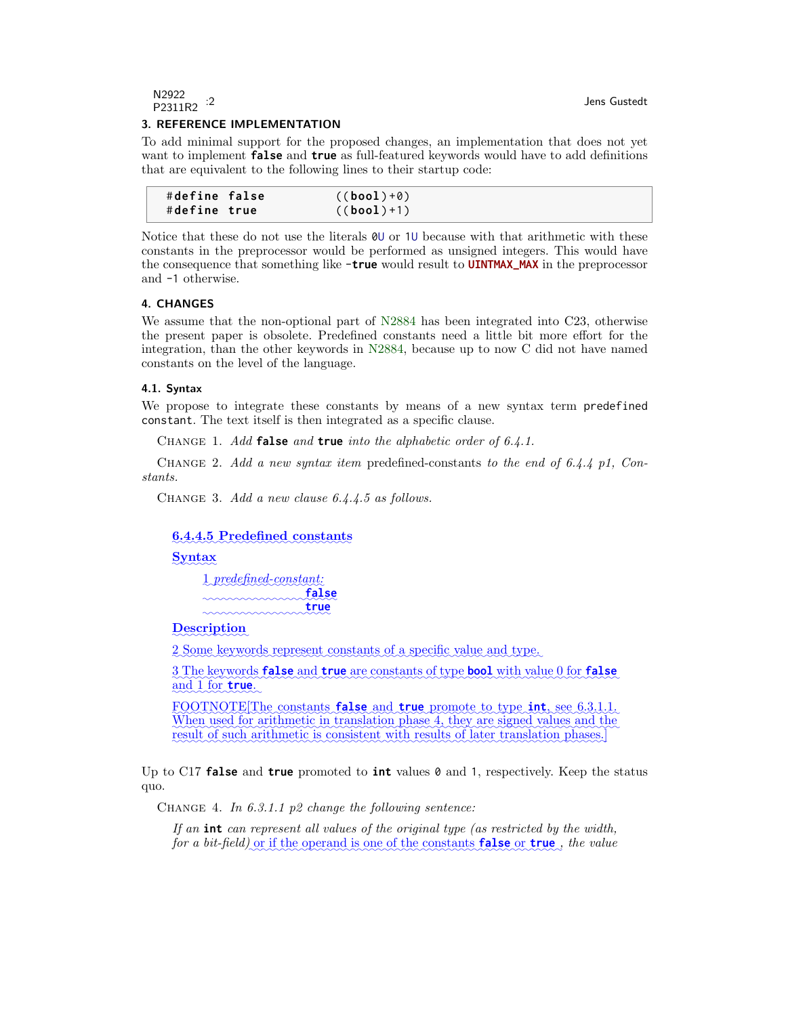## 3. REFERENCE IMPLEMENTATION

To add minimal support for the proposed changes, an implementation that does not yet want to implement **false** and **true** as full-featured keywords would have to add definitions that are equivalent to the following lines to their startup code:

| #define false | $( (bool) + 0)$ |  |
|---------------|-----------------|--|
| #define true  | $((bool) + 1)$  |  |

Notice that these do not use the literals 0U or 1U because with that arithmetic with these constants in the preprocessor would be performed as unsigned integers. This would have the consequence that something like -**true** would result to **UINTMAX\_MAX** in the preprocessor and -1 otherwise.

#### 4. CHANGES

We assume that the non-optional part of [N2884](http://www.open-std.org/jtc1/sc22/wg14/www/docs/n2884.pdf) has been integrated into C23, otherwise the present paper is obsolete. Predefined constants need a little bit more effort for the integration, than the other keywords in [N2884,](http://www.open-std.org/jtc1/sc22/wg14/www/docs/n2884.pdf) because up to now C did not have named constants on the level of the language.

#### 4.1. Syntax

We propose to integrate these constants by means of a new syntax term predefined constant. The text itself is then integrated as a specific clause.

Change 1. Add **false** and **true** into the alphabetic order of 6.4.1.

CHANGE 2. Add a new syntax item predefined-constants to the end of 6.4.4 p1, Constants.

Change 3. Add a new clause 6.4.4.5 as follows.

# ✿✿✿✿✿✿✿✿✿✿✿✿✿✿✿✿✿✿✿✿✿✿✿✿✿✿✿✿ 6.4.4.5 Predefined constants

# Syntax

1 predefined-constant: ✿✿✿✿✿✿✿✿✿✿✿✿✿✿✿✿✿✿✿✿✿ **false** ✿✿✿✿✿✿✿✿✿✿✿✿✿✿✿✿✿✿✿✿ **true**

# **Description**

2. Some keywords represent constants of a specific value and type.

3 The keywords **false** and **true** are constants of type **bool** with value 0 for **false** and 1 for **true**.

 ${\tt FQOTNOTE}$  The constants **false** and **true** promote to type **int**, see 6.3.1.1. When used for arithmetic in translation phase 4, they are signed values and the result of such arithmetic is consistent with results of later translation phases.]

Up to C17 **false** and **true** promoted to **int** values 0 and 1, respectively. Keep the status quo.

CHANGE 4. In  $6.3.1.1$  p2 change the following sentence:

If an **int** can represent all values of the original type (as restricted by the width, for a bit-field) <u>or</u> if the operand is one of the constants **false** or **true**, the value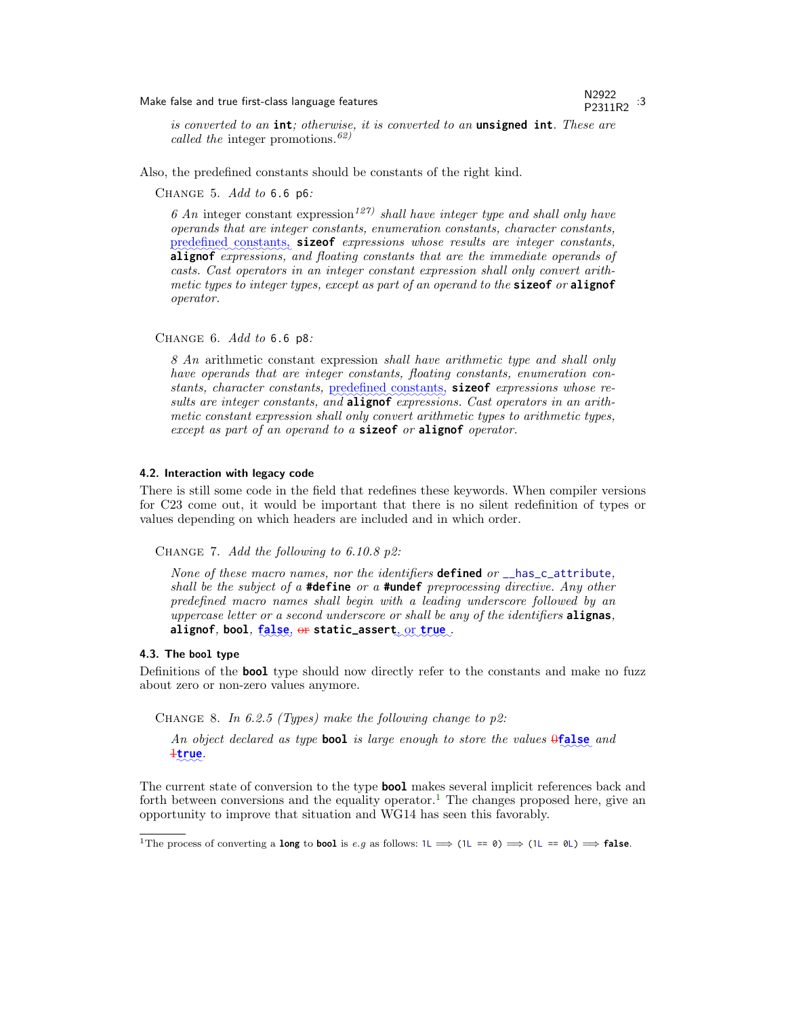# Make false and true first-class language features New York 19922

# P2311R2 :3

is converted to an **int**; otherwise, it is converted to an **unsigned int**. These are called the integer promotions.<sup>62)</sup>

Also, the predefined constants should be constants of the right kind.

Change 5. Add to 6.6 p6:

6 An integer constant expression<sup>127)</sup> shall have integer type and shall only have operands that are integer constants, enumeration constants, character constants, **alignof** expressions, and floating constants that are the immediate operands of predefined constants, sizeof expressions whose results are integer constants, casts. Cast operators in an integer constant expression shall only convert arithmetic types to integer types, except as part of an operand to the **sizeof** or **alignof** operator.

Change 6. Add to 6.6 p8:

8 An arithmetic constant expression shall have arithmetic type and shall only have operands that are integer constants, floating constants, enumeration constants, character constants, predefined constants, sizeof expressions whose results are integer constants, and **alignof** expressions. Cast operators in an arithmetic constant expression shall only convert arithmetic types to arithmetic types, except as part of an operand to a **sizeof** or **alignof** operator.

#### 4.2. Interaction with legacy code

There is still some code in the field that redefines these keywords. When compiler versions for C23 come out, it would be important that there is no silent redefinition of types or values depending on which headers are included and in which order.

CHANGE 7. Add the following to 6.10.8 p2:

None of these macro names, nor the identifiers **defined** or \_\_has\_c\_attribute, shall be the subject of a **#define** or a **#undef** preprocessing directive. Any other predefined macro names shall begin with a leading underscore followed by an uppercase letter or a second underscore or shall be any of the identifiers **alignas**,  $\alpha$ **alignof, bool, false, or static\_assert**, or **true** 

# 4.3. The **bool** type

Definitions of the **bool** type should now directly refer to the constants and make no fuzz about zero or non-zero values anymore.

CHANGE 8. In 6.2.5 (Types) make the following change to  $p2$ :

An object declared as type **bool** is large enough to store the values  $\theta$ **false** and 1✿✿✿✿ **true**.

The current state of conversion to the type **bool** makes several implicit references back and forth between conversions and the equality operator.<sup>[1](#page-2-0)</sup> The changes proposed here, give an opportunity to improve that situation and WG14 has seen this favorably.

<span id="page-2-0"></span><sup>&</sup>lt;sup>1</sup>The process of converting a **long** to **bool** is e.g as follows:  $1L \implies (1L == 0) \implies (1L == 0L) \implies$  **false**.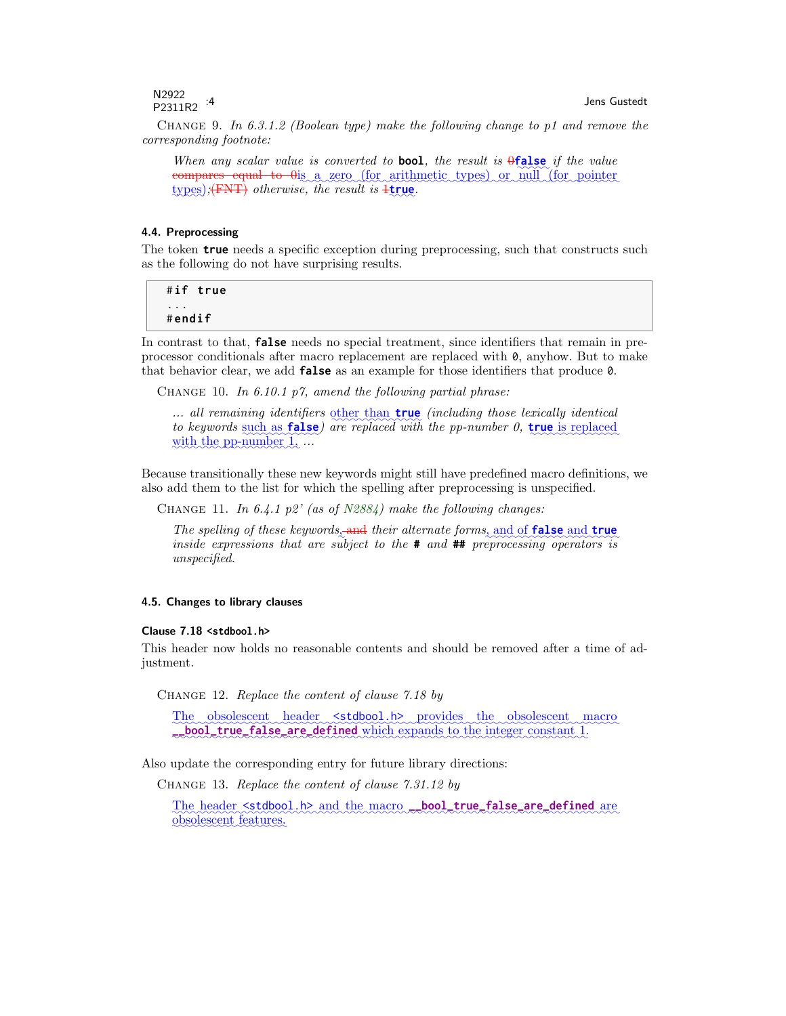N2922  $P2311R2$  :4 Jens Gustedt

CHANGE 9. In 6.3.1.2 (Boolean type) make the following change to p1 and remove the corresponding footnote:

When any scalar value is converted to **bool**, the result is  $\theta$ **false** if the value compares equal to  $\theta$  as a zero (for arithmetic types) or null (for pointer  $\tt types$ );<del>(FNT)</del> otherwise, the result is  $\frac{1}{2}$ true.

#### 4.4. Preprocessing

The token **true** needs a specific exception during preprocessing, such that constructs such as the following do not have surprising results.

#**if true** ... # **endif**

In contrast to that, **false** needs no special treatment, since identifiers that remain in preprocessor conditionals after macro replacement are replaced with 0, anyhow. But to make that behavior clear, we add **false** as an example for those identifiers that produce 0.

CHANGE 10. In 6.10.1 p7, amend the following partial phrase:

... all remaining identifiers other than **true** (including those lexically identical to keywords such as **false**) are replaced with the pp-number 0, **true** is replaced with the pp-number  $1, \ldots$ 

Because transitionally these new keywords might still have predefined macro definitions, we also add them to the list for which the spelling after preprocessing is unspecified.

CHANGE 11. In 6.4.1 p2' (as of  $N2884$ ) make the following changes:

The spelling of these keywords, and their alternate forms, and of **false** and **true** inside expressions that are subject to the **#** and **##** preprocessing operators is unspecified.

#### 4.5. Changes to library clauses

#### Clause 7.18 **<stdbool.h>**

This header now holds no reasonable contents and should be removed after a time of adjustment.

Change 12. Replace the content of clause 7.18 by

The obsolescent header stdbool.h> provides the obsolescent macro **\_\_bool\_true\_false\_are\_defined** which expands to the integer constant 1.

Also update the corresponding entry for future library directions:

Change 13. Replace the content of clause 7.31.12 by

The header stdbool.h> and the macro<sub>cos</sub> bool\_true\_false\_are\_defined are obsolescent features.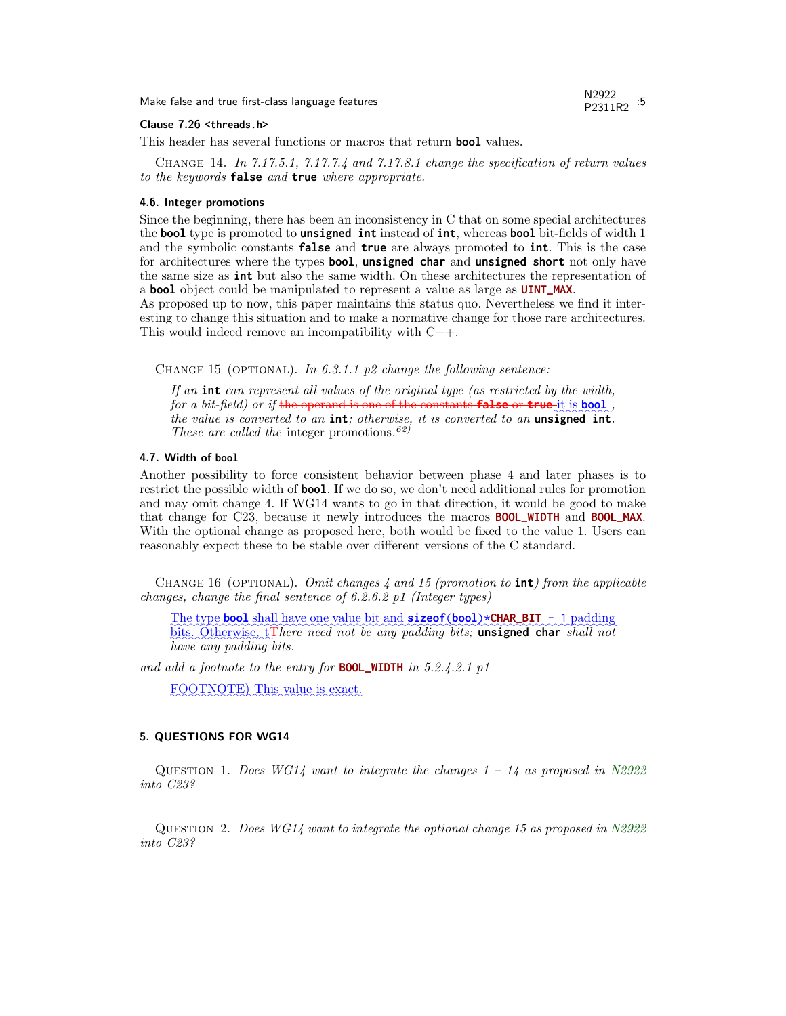Make false and true first-class language features New York 19922

# P2311R2 :5

#### Clause 7.26 **<threads.h>**

This header has several functions or macros that return **bool** values.

Change 14. In 7.17.5.1, 7.17.7.4 and 7.17.8.1 change the specification of return values to the keywords **false** and **true** where appropriate.

#### 4.6. Integer promotions

Since the beginning, there has been an inconsistency in C that on some special architectures the **bool** type is promoted to **unsigned int** instead of **int**, whereas **bool** bit-fields of width 1 and the symbolic constants **false** and **true** are always promoted to **int**. This is the case for architectures where the types **bool**, **unsigned char** and **unsigned short** not only have the same size as **int** but also the same width. On these architectures the representation of a **bool** object could be manipulated to represent a value as large as **UINT\_MAX**.

As proposed up to now, this paper maintains this status quo. Nevertheless we find it interesting to change this situation and to make a normative change for those rare architectures. This would indeed remove an incompatibility with C++.

CHANGE 15 (OPTIONAL). In 6.3.1.1 p2 change the following sentence:

If an **int** can represent all values of the original type (as restricted by the width, for a bit-field) or if the operand is one of the constants **false** or **true** it is **bool**, the value is converted to an **int**; otherwise, it is converted to an **unsigned int**. These are called the integer promotions.<sup>62)</sup>

## 4.7. Width of **bool**

Another possibility to force consistent behavior between phase 4 and later phases is to restrict the possible width of **bool**. If we do so, we don't need additional rules for promotion and may omit change 4. If WG14 wants to go in that direction, it would be good to make that change for C23, because it newly introduces the macros **BOOL\_WIDTH** and **BOOL\_MAX**. With the optional change as proposed here, both would be fixed to the value 1. Users can reasonably expect these to be stable over different versions of the C standard.

CHANGE 16 (OPTIONAL). Omit changes  $\lambda$  and 15 (promotion to **int**) from the applicable changes, change the final sentence of 6.2.6.2 p1 (Integer types)

The type **bool** shall have one value bit and **sizeof**(**bool**)\***CHAR\_BIT** - 1 padding bits. Otherwise, t<del>T</del>here need not be any padding bits; **unsigned char** shall not have any padding bits.

and add a footnote to the entry for **BOOL\_WIDTH** in 5.2.4.2.1 p1

FOOTNOTE) This value is exact.

#### 5. QUESTIONS FOR WG14

QUESTION 1. Does WG14 want to integrate the changes  $1 - 14$  as proposed in [N2922](http://www.open-std.org/jtc1/sc22/wg14/www/docs/n2922.pdf) into C23?

QUESTION 2. Does  $WGI4$  want to integrate the optional change 15 as proposed in [N2922](http://www.open-std.org/jtc1/sc22/wg14/www/docs/n2922.pdf) into C23?